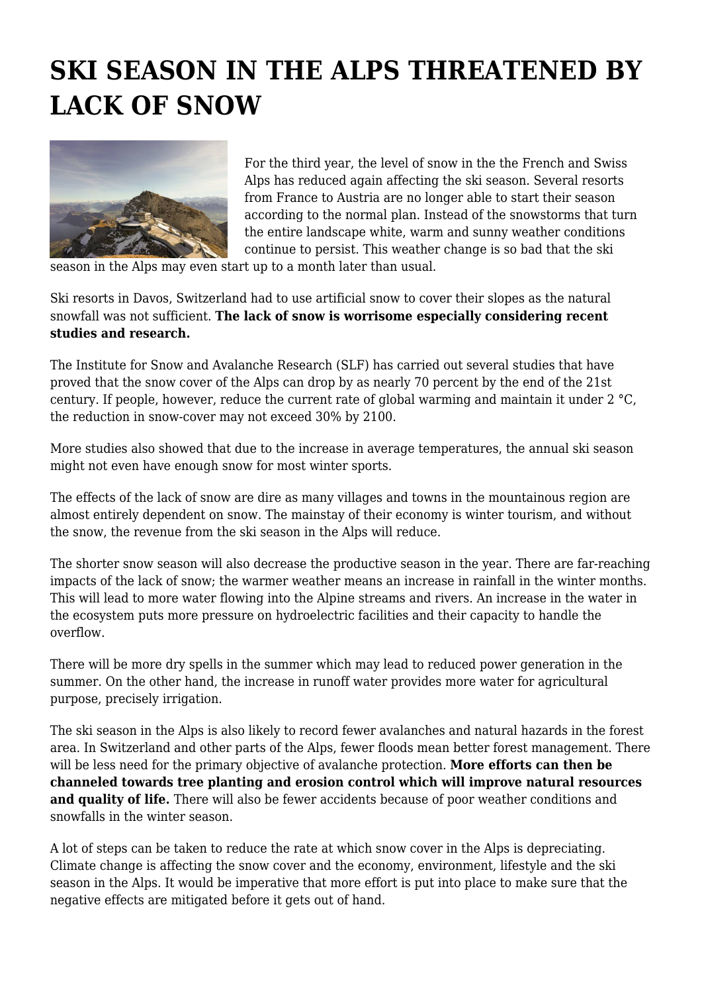## **SKI SEASON IN THE ALPS THREATENED BY LACK OF SNOW**



For the third year, the level of snow in the the French and Swiss Alps has reduced again affecting the ski season. Several resorts from France to Austria are no longer able to start their season according to the normal plan. Instead of the snowstorms that turn the entire landscape white, warm and sunny weather conditions continue to persist. This weather change is so bad that the ski

season in the Alps may even start up to a month later than usual.

Ski resorts in Davos, Switzerland had to use artificial snow to cover their slopes as the natural snowfall was not sufficient. **The lack of snow is worrisome especially considering recent studies and research.**

The Institute for Snow and Avalanche Research (SLF) has carried out several studies that have proved that the snow cover of the Alps can drop by as nearly 70 percent by the end of the 21st century. If people, however, reduce the current rate of global warming and maintain it under 2 °C, the reduction in snow-cover may not exceed 30% by 2100.

More studies also showed that due to the increase in average temperatures, the annual ski season might not even have enough snow for most winter sports.

The effects of the lack of snow are dire as many villages and towns in the mountainous region are almost entirely dependent on snow. The mainstay of their economy is winter tourism, and without the snow, the revenue from the ski season in the Alps will reduce.

The shorter snow season will also decrease the productive season in the year. There are far-reaching impacts of the lack of snow; the warmer weather means an increase in rainfall in the winter months. This will lead to more water flowing into the Alpine streams and rivers. An increase in the water in the ecosystem puts more pressure on hydroelectric facilities and their capacity to handle the overflow.

There will be more dry spells in the summer which may lead to reduced power generation in the summer. On the other hand, the increase in runoff water provides more water for agricultural purpose, precisely irrigation.

The ski season in the Alps is also likely to record fewer avalanches and natural hazards in the forest area. In Switzerland and other parts of the Alps, fewer floods mean better forest management. There will be less need for the primary objective of avalanche protection. **More efforts can then be channeled towards tree planting and erosion control which will improve natural resources and quality of life.** There will also be fewer accidents because of poor weather conditions and snowfalls in the winter season.

A lot of steps can be taken to reduce the rate at which snow cover in the Alps is depreciating. Climate change is affecting the snow cover and the economy, environment, lifestyle and the ski season in the Alps. It would be imperative that more effort is put into place to make sure that the negative effects are mitigated before it gets out of hand.